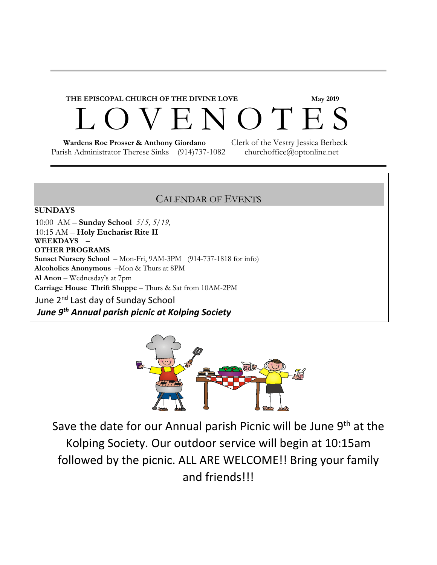### **THE EPISCOPAL CHURCH OF THE DIVINE LOVE May 2019**   $U$  E N O T E

 **Wardens Roe Prosser & Anthony Giordano** Clerk of the Vestry Jessica Berbeck Parish Administrator Therese Sinks (914)737-1082 churchoffice@optonline.net

#### CALENDAR OF EVENTS

#### **SUNDAYS**

10:00 AM – **Sunday School** *5/5, 5/19,*  10:15 AM – **Holy Eucharist Rite II WEEKDAYS – OTHER PROGRAMS Sunset Nursery School** – Mon-Fri, 9AM-3PM (914-737-1818 for info) **Alcoholics Anonymous** –Mon & Thurs at 8PM **Al Anon** – Wednesday's at 7pm **Carriage House Thrift Shoppe** – Thurs & Sat from 10AM-2PM June 2<sup>nd</sup> Last day of Sunday School *June 9th Annual parish picnic at Kolping Society*



Save the date fo[r our A](http://robliano.wordpress.com/2011/09/05/bridge-over-troubled-water-a-parable-for-life/)nnual parish Picni[c will b](https://creativecommons.org/licenses/by-nd/3.0/)e June 9<sup>th</sup> at the Kolping Society. Our outdoor service will begin at 10:15am followed by the picnic. ALL ARE WELCOME!! Bring your family and friends!!!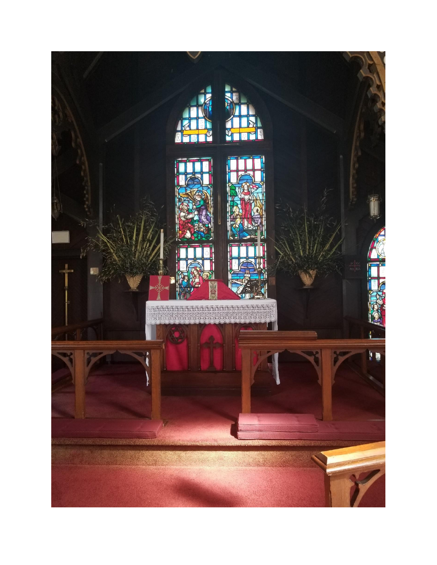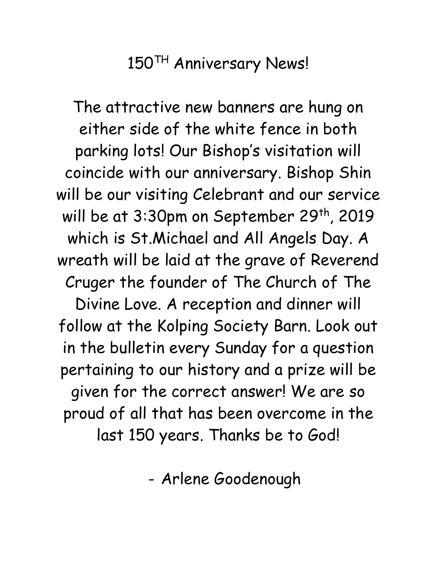The attractive new banners are hung on either side of the white fence in both parking lots! Our Bishop's visitation will coincide with our anniversary. Bishop Shin will be our visiting Celebrant and our service will be at 3:30pm on September 29<sup>th</sup>, 2019 which is St.Michael and All Angels Day. A wreath will be laid at the grave of Reverend Cruger the founder of The Church of The

Divine Love. A reception and dinner will follow at the Kolping Society Barn. Look out in the bulletin every Sunday for a question pertaining to our history and a prize will be given for the correct answer! We are so proud of all that has been overcome in the last 150 years. Thanks be to God!

- Arlene Goodenough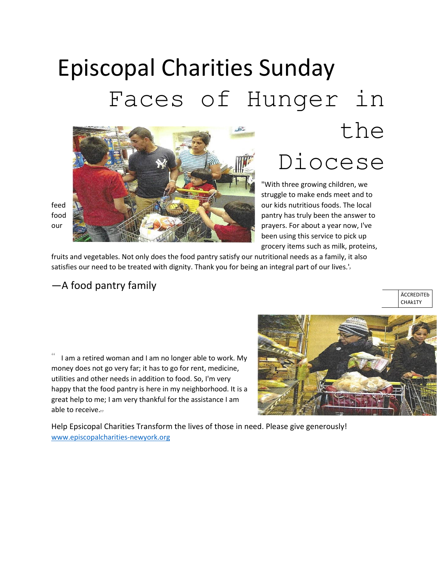# Episcopal Charities Sunday Faces of Hunger in



## Diocese

the

"With three growing children, we struggle to make ends meet and to been using this service to pick up grocery items such as milk, proteins,

fruits and vegetables. Not only does the food pantry satisfy our nutritional needs as a family, it also satisfies our need to be treated with dignity. Thank you for being an integral part of our lives.',



I am a retired woman and I am no longer able to work. My money does not go very far; it has to go for rent, medicine, utilities and other needs in addition to food. So, I'm very happy that the food pantry is here in my neighborhood. It is a great help to me; I am very thankful for the assistance I am able to receive.



**ÄCCREDITEb** CHAk1TY

Help Epsicopal Charities Transform the lives of those in need. Please give generously! [www.episcopalcharities-newyork.org](http://www.episcopalcharities-newyork.org/)